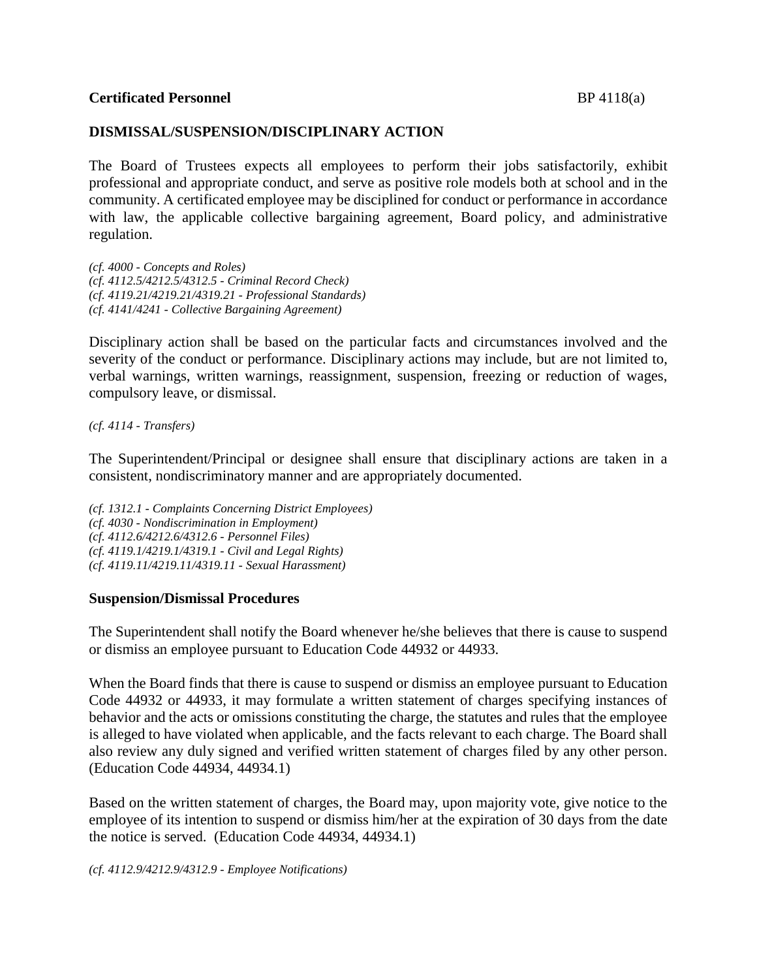## **DISMISSAL/SUSPENSION/DISCIPLINARY ACTION**

The Board of Trustees expects all employees to perform their jobs satisfactorily, exhibit professional and appropriate conduct, and serve as positive role models both at school and in the community. A certificated employee may be disciplined for conduct or performance in accordance with law, the applicable collective bargaining agreement, Board policy, and administrative regulation.

*(cf. 4000 - Concepts and Roles) (cf. 4112.5/4212.5/4312.5 - Criminal Record Check) (cf. 4119.21/4219.21/4319.21 - Professional Standards) (cf. 4141/4241 - Collective Bargaining Agreement)*

Disciplinary action shall be based on the particular facts and circumstances involved and the severity of the conduct or performance. Disciplinary actions may include, but are not limited to, verbal warnings, written warnings, reassignment, suspension, freezing or reduction of wages, compulsory leave, or dismissal.

*(cf. 4114 - Transfers)*

The Superintendent/Principal or designee shall ensure that disciplinary actions are taken in a consistent, nondiscriminatory manner and are appropriately documented.

*(cf. 1312.1 - Complaints Concerning District Employees) (cf. 4030 - Nondiscrimination in Employment) (cf. 4112.6/4212.6/4312.6 - Personnel Files) (cf. 4119.1/4219.1/4319.1 - Civil and Legal Rights) (cf. 4119.11/4219.11/4319.11 - Sexual Harassment)*

#### **Suspension/Dismissal Procedures**

The Superintendent shall notify the Board whenever he/she believes that there is cause to suspend or dismiss an employee pursuant to Education Code 44932 or 44933.

When the Board finds that there is cause to suspend or dismiss an employee pursuant to Education Code 44932 or 44933, it may formulate a written statement of charges specifying instances of behavior and the acts or omissions constituting the charge, the statutes and rules that the employee is alleged to have violated when applicable, and the facts relevant to each charge. The Board shall also review any duly signed and verified written statement of charges filed by any other person. (Education Code 44934, 44934.1)

Based on the written statement of charges, the Board may, upon majority vote, give notice to the employee of its intention to suspend or dismiss him/her at the expiration of 30 days from the date the notice is served. (Education Code 44934, 44934.1)

*(cf. 4112.9/4212.9/4312.9 - Employee Notifications)*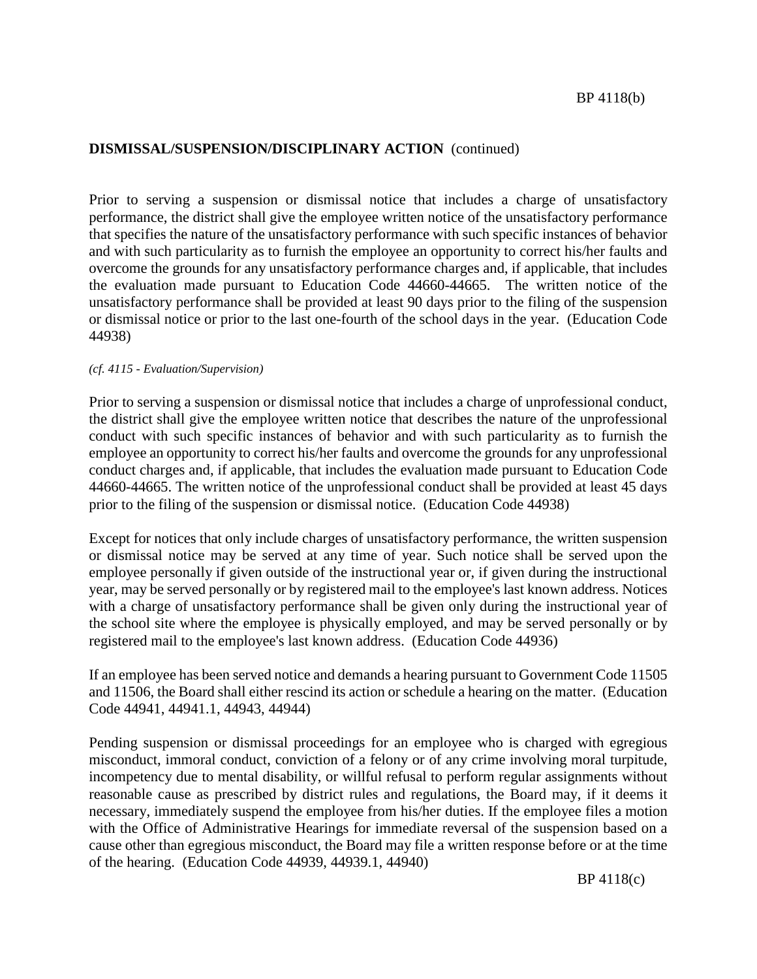Prior to serving a suspension or dismissal notice that includes a charge of unsatisfactory performance, the district shall give the employee written notice of the unsatisfactory performance that specifies the nature of the unsatisfactory performance with such specific instances of behavior and with such particularity as to furnish the employee an opportunity to correct his/her faults and overcome the grounds for any unsatisfactory performance charges and, if applicable, that includes the evaluation made pursuant to Education Code 44660-44665. The written notice of the unsatisfactory performance shall be provided at least 90 days prior to the filing of the suspension or dismissal notice or prior to the last one-fourth of the school days in the year. (Education Code 44938)

#### *(cf. 4115 - Evaluation/Supervision)*

Prior to serving a suspension or dismissal notice that includes a charge of unprofessional conduct, the district shall give the employee written notice that describes the nature of the unprofessional conduct with such specific instances of behavior and with such particularity as to furnish the employee an opportunity to correct his/her faults and overcome the grounds for any unprofessional conduct charges and, if applicable, that includes the evaluation made pursuant to Education Code 44660-44665. The written notice of the unprofessional conduct shall be provided at least 45 days prior to the filing of the suspension or dismissal notice. (Education Code 44938)

Except for notices that only include charges of unsatisfactory performance, the written suspension or dismissal notice may be served at any time of year. Such notice shall be served upon the employee personally if given outside of the instructional year or, if given during the instructional year, may be served personally or by registered mail to the employee's last known address. Notices with a charge of unsatisfactory performance shall be given only during the instructional year of the school site where the employee is physically employed, and may be served personally or by registered mail to the employee's last known address. (Education Code 44936)

If an employee has been served notice and demands a hearing pursuant to Government Code 11505 and 11506, the Board shall either rescind its action or schedule a hearing on the matter. (Education Code 44941, 44941.1, 44943, 44944)

Pending suspension or dismissal proceedings for an employee who is charged with egregious misconduct, immoral conduct, conviction of a felony or of any crime involving moral turpitude, incompetency due to mental disability, or willful refusal to perform regular assignments without reasonable cause as prescribed by district rules and regulations, the Board may, if it deems it necessary, immediately suspend the employee from his/her duties. If the employee files a motion with the Office of Administrative Hearings for immediate reversal of the suspension based on a cause other than egregious misconduct, the Board may file a written response before or at the time of the hearing. (Education Code 44939, 44939.1, 44940)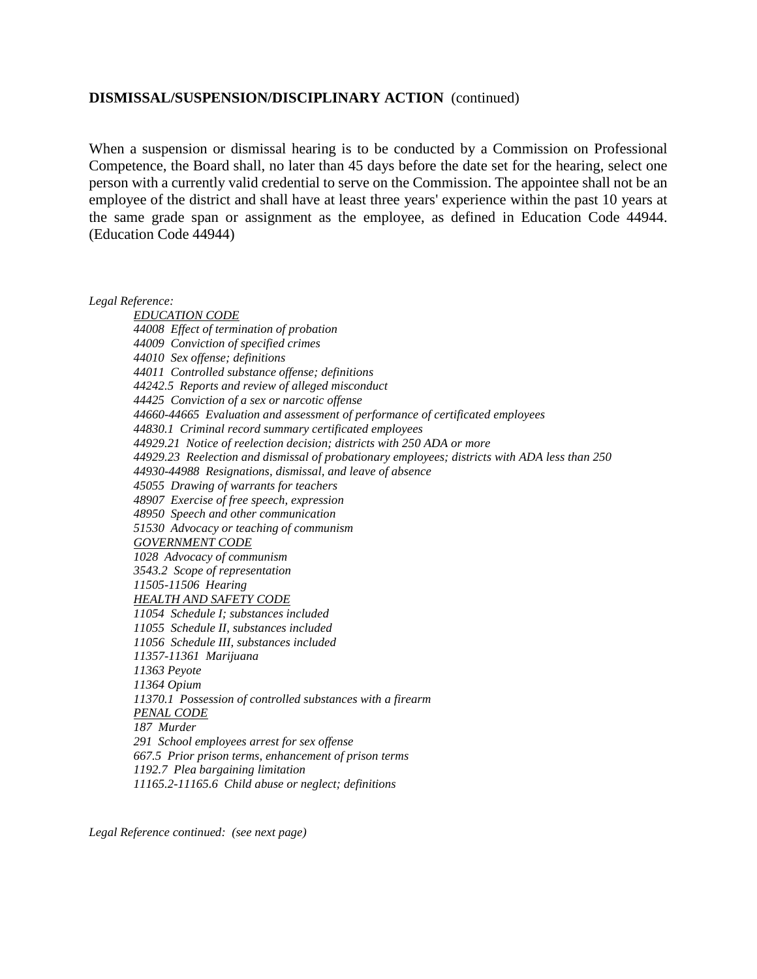When a suspension or dismissal hearing is to be conducted by a Commission on Professional Competence, the Board shall, no later than 45 days before the date set for the hearing, select one person with a currently valid credential to serve on the Commission. The appointee shall not be an employee of the district and shall have at least three years' experience within the past 10 years at the same grade span or assignment as the employee, as defined in Education Code 44944. (Education Code 44944)

*Legal Reference:*

*EDUCATION CODE 44008 Effect of termination of probation 44009 Conviction of specified crimes 44010 Sex offense; definitions 44011 Controlled substance offense; definitions 44242.5 Reports and review of alleged misconduct 44425 Conviction of a sex or narcotic offense 44660-44665 Evaluation and assessment of performance of certificated employees 44830.1 Criminal record summary certificated employees 44929.21 Notice of reelection decision; districts with 250 ADA or more 44929.23 Reelection and dismissal of probationary employees; districts with ADA less than 250 44930-44988 Resignations, dismissal, and leave of absence 45055 Drawing of warrants for teachers 48907 Exercise of free speech, expression 48950 Speech and other communication 51530 Advocacy or teaching of communism GOVERNMENT CODE 1028 Advocacy of communism 3543.2 Scope of representation 11505-11506 Hearing HEALTH AND SAFETY CODE 11054 Schedule I; substances included 11055 Schedule II, substances included 11056 Schedule III, substances included 11357-11361 Marijuana 11363 Peyote 11364 Opium 11370.1 Possession of controlled substances with a firearm PENAL CODE 187 Murder 291 School employees arrest for sex offense 667.5 Prior prison terms, enhancement of prison terms 1192.7 Plea bargaining limitation 11165.2-11165.6 Child abuse or neglect; definitions*

*Legal Reference continued: (see next page)*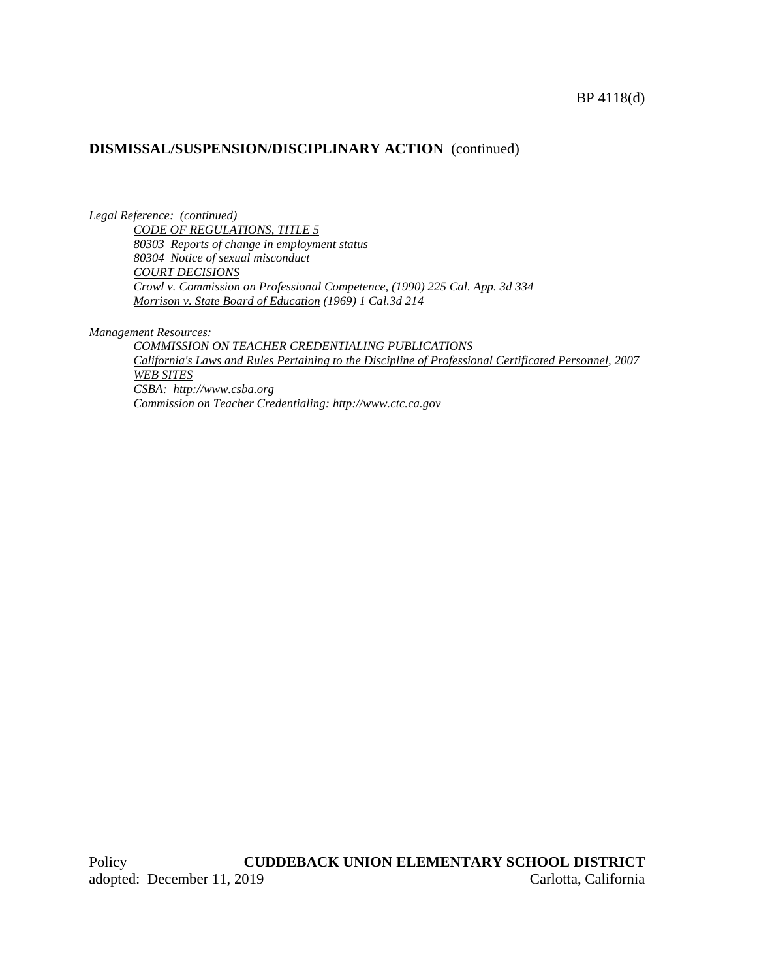#### BP 4118(d)

## **DISMISSAL/SUSPENSION/DISCIPLINARY ACTION** (continued)

*Legal Reference: (continued) CODE OF REGULATIONS, TITLE 5 80303 Reports of change in employment status 80304 Notice of sexual misconduct COURT DECISIONS Crowl v. Commission on Professional Competence, (1990) 225 Cal. App. 3d 334 Morrison v. State Board of Education (1969) 1 Cal.3d 214*

*Management Resources:*

*COMMISSION ON TEACHER CREDENTIALING PUBLICATIONS California's Laws and Rules Pertaining to the Discipline of Professional Certificated Personnel, 2007 WEB SITES CSBA: http://www.csba.org Commission on Teacher Credentialing: http://www.ctc.ca.gov*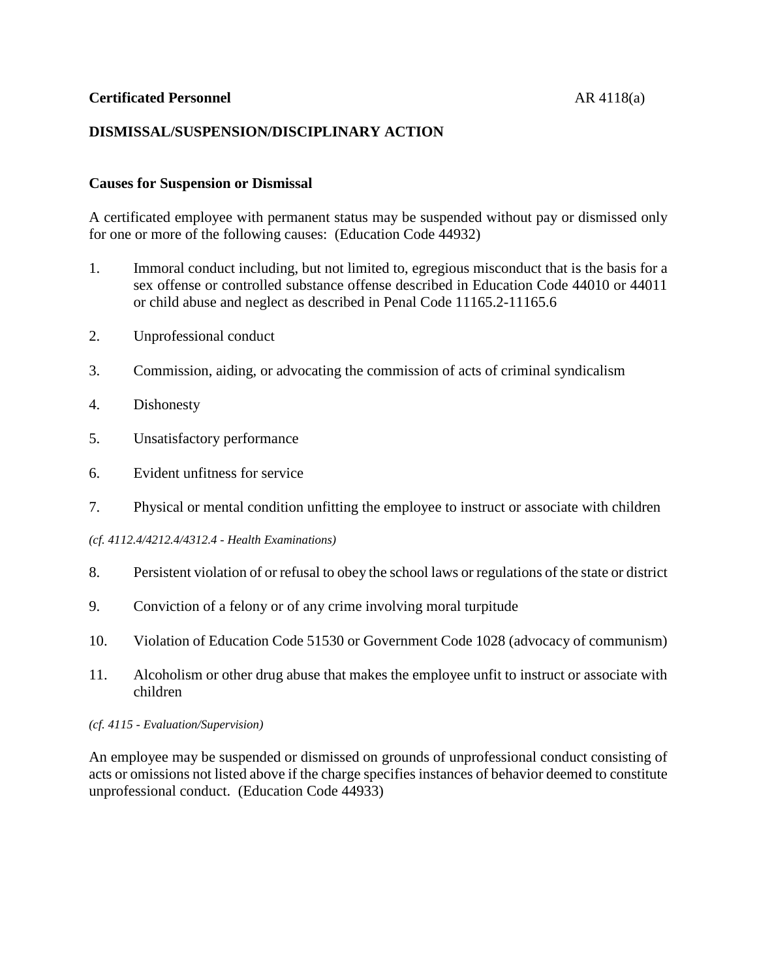## **Certificated Personnel** AR 4118(a)

# **DISMISSAL/SUSPENSION/DISCIPLINARY ACTION**

## **Causes for Suspension or Dismissal**

A certificated employee with permanent status may be suspended without pay or dismissed only for one or more of the following causes: (Education Code 44932)

- 1. Immoral conduct including, but not limited to, egregious misconduct that is the basis for a sex offense or controlled substance offense described in Education Code 44010 or 44011 or child abuse and neglect as described in Penal Code 11165.2-11165.6
- 2. Unprofessional conduct
- 3. Commission, aiding, or advocating the commission of acts of criminal syndicalism
- 4. Dishonesty
- 5. Unsatisfactory performance
- 6. Evident unfitness for service
- 7. Physical or mental condition unfitting the employee to instruct or associate with children
- *(cf. 4112.4/4212.4/4312.4 - Health Examinations)*
- 8. Persistent violation of or refusal to obey the school laws or regulations of the state or district
- 9. Conviction of a felony or of any crime involving moral turpitude
- 10. Violation of Education Code 51530 or Government Code 1028 (advocacy of communism)
- 11. Alcoholism or other drug abuse that makes the employee unfit to instruct or associate with children

#### *(cf. 4115 - Evaluation/Supervision)*

An employee may be suspended or dismissed on grounds of unprofessional conduct consisting of acts or omissions not listed above if the charge specifies instances of behavior deemed to constitute unprofessional conduct. (Education Code 44933)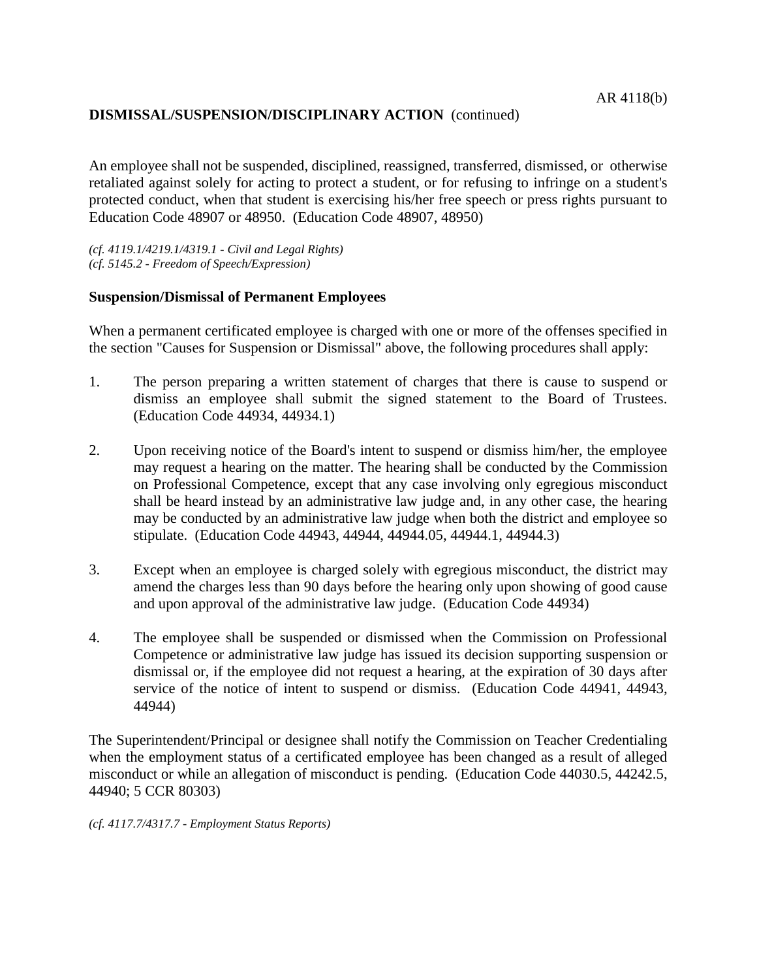An employee shall not be suspended, disciplined, reassigned, transferred, dismissed, or otherwise retaliated against solely for acting to protect a student, or for refusing to infringe on a student's protected conduct, when that student is exercising his/her free speech or press rights pursuant to Education Code 48907 or 48950. (Education Code 48907, 48950)

*(cf. 4119.1/4219.1/4319.1 - Civil and Legal Rights) (cf. 5145.2 - Freedom of Speech/Expression)*

## **Suspension/Dismissal of Permanent Employees**

When a permanent certificated employee is charged with one or more of the offenses specified in the section "Causes for Suspension or Dismissal" above, the following procedures shall apply:

- 1. The person preparing a written statement of charges that there is cause to suspend or dismiss an employee shall submit the signed statement to the Board of Trustees. (Education Code 44934, 44934.1)
- 2. Upon receiving notice of the Board's intent to suspend or dismiss him/her, the employee may request a hearing on the matter. The hearing shall be conducted by the Commission on Professional Competence, except that any case involving only egregious misconduct shall be heard instead by an administrative law judge and, in any other case, the hearing may be conducted by an administrative law judge when both the district and employee so stipulate. (Education Code 44943, 44944, 44944.05, 44944.1, 44944.3)
- 3. Except when an employee is charged solely with egregious misconduct, the district may amend the charges less than 90 days before the hearing only upon showing of good cause and upon approval of the administrative law judge. (Education Code 44934)
- 4. The employee shall be suspended or dismissed when the Commission on Professional Competence or administrative law judge has issued its decision supporting suspension or dismissal or, if the employee did not request a hearing, at the expiration of 30 days after service of the notice of intent to suspend or dismiss. (Education Code 44941, 44943, 44944)

The Superintendent/Principal or designee shall notify the Commission on Teacher Credentialing when the employment status of a certificated employee has been changed as a result of alleged misconduct or while an allegation of misconduct is pending. (Education Code 44030.5, 44242.5, 44940; 5 CCR 80303)

*(cf. 4117.7/4317.7 - Employment Status Reports)*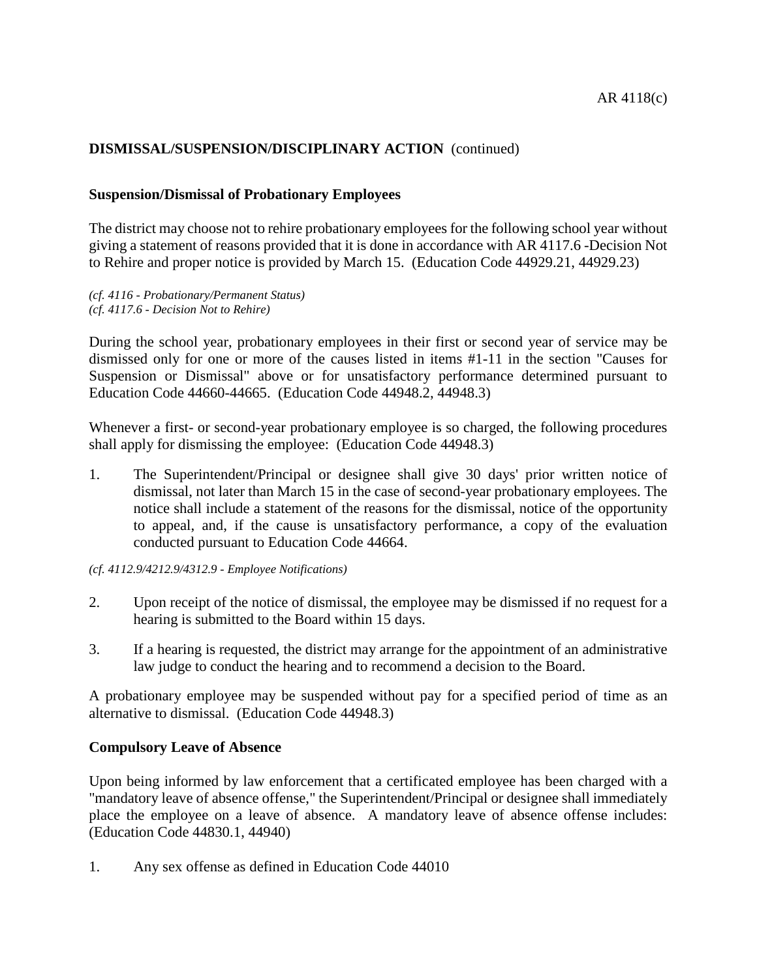## **Suspension/Dismissal of Probationary Employees**

The district may choose not to rehire probationary employees for the following school year without giving a statement of reasons provided that it is done in accordance with AR 4117.6 -Decision Not to Rehire and proper notice is provided by March 15. (Education Code 44929.21, 44929.23)

*(cf. 4116 - Probationary/Permanent Status) (cf. 4117.6 - Decision Not to Rehire)*

During the school year, probationary employees in their first or second year of service may be dismissed only for one or more of the causes listed in items #1-11 in the section "Causes for Suspension or Dismissal" above or for unsatisfactory performance determined pursuant to Education Code 44660-44665. (Education Code 44948.2, 44948.3)

Whenever a first- or second-year probationary employee is so charged, the following procedures shall apply for dismissing the employee: (Education Code 44948.3)

- 1. The Superintendent/Principal or designee shall give 30 days' prior written notice of dismissal, not later than March 15 in the case of second-year probationary employees. The notice shall include a statement of the reasons for the dismissal, notice of the opportunity to appeal, and, if the cause is unsatisfactory performance, a copy of the evaluation conducted pursuant to Education Code 44664.
- *(cf. 4112.9/4212.9/4312.9 - Employee Notifications)*
- 2. Upon receipt of the notice of dismissal, the employee may be dismissed if no request for a hearing is submitted to the Board within 15 days.
- 3. If a hearing is requested, the district may arrange for the appointment of an administrative law judge to conduct the hearing and to recommend a decision to the Board.

A probationary employee may be suspended without pay for a specified period of time as an alternative to dismissal. (Education Code 44948.3)

## **Compulsory Leave of Absence**

Upon being informed by law enforcement that a certificated employee has been charged with a "mandatory leave of absence offense," the Superintendent/Principal or designee shall immediately place the employee on a leave of absence. A mandatory leave of absence offense includes: (Education Code 44830.1, 44940)

1. Any sex offense as defined in Education Code 44010